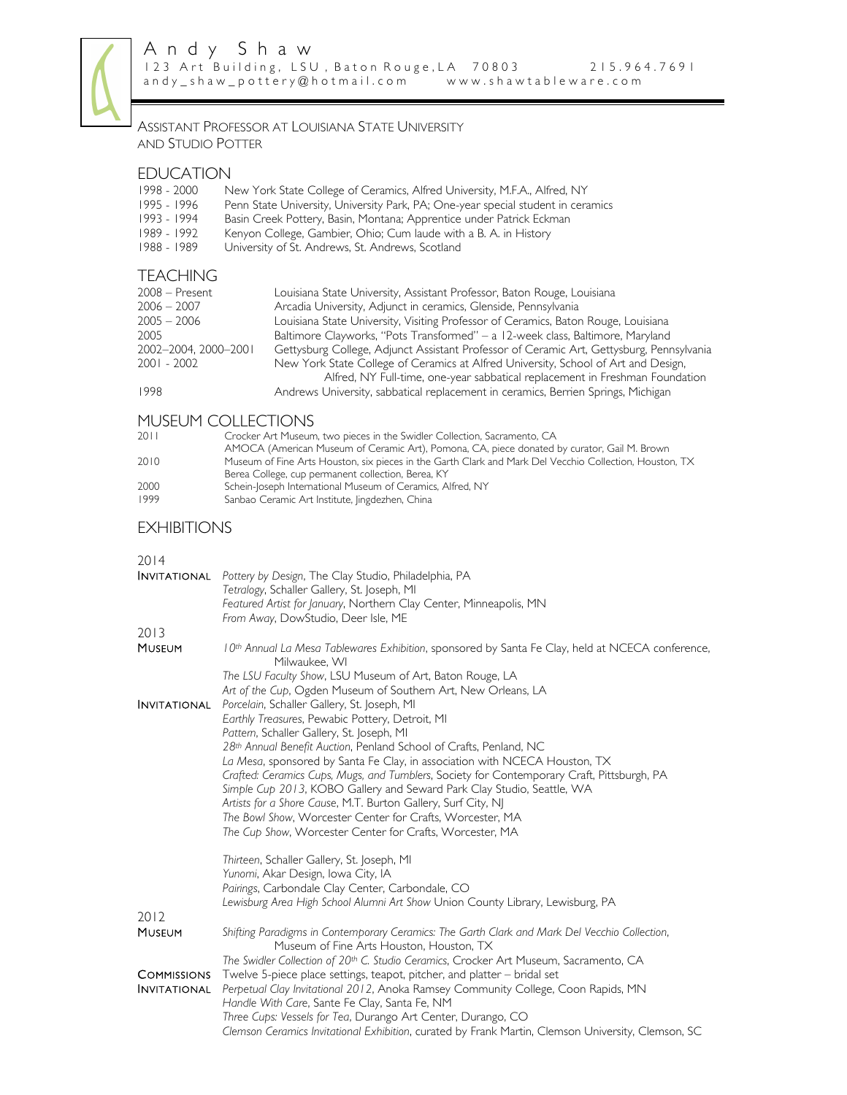

## ASSISTANT PROFESSOR AT LOUISIANA STATE UNIVERSITY AND STUDIO POTTER

# EDUCATION<br>1998 - 2000

- 1998 2000 New York State College of Ceramics, Alfred University, M.F.A., Alfred, NY<br>1995 1996 Penn State University, University Park, PA; One-year special student in cera
- 1995 1996 Penn State University, University Park, PA; One-year special student in ceramics<br>1993 1994 Basin Creek Pottery, Basin, Montana; Apprentice under Patrick Eckman
	- Basin Creek Pottery, Basin, Montana; Apprentice under Patrick Eckman
- 1989 1992 Kenyon College, Gambier, Ohio; Cum laude with a B. A. in History<br>1988 1989 University of St. Andrews, St. Andrews, Scotland
- University of St. Andrews, St. Andrews, Scotland

# TEACHING

| $2008 -$ Present     | Louisiana State University, Assistant Professor, Baton Rouge, Louisiana                  |
|----------------------|------------------------------------------------------------------------------------------|
| $2006 - 2007$        | Arcadia University, Adjunct in ceramics, Glenside, Pennsylvania                          |
| $2005 - 2006$        | Louisiana State University, Visiting Professor of Ceramics, Baton Rouge, Louisiana       |
| 2005                 | Baltimore Clayworks, "Pots Transformed" – a 12-week class, Baltimore, Maryland           |
| 2002-2004, 2000-2001 | Gettysburg College, Adjunct Assistant Professor of Ceramic Art, Gettysburg, Pennsylvania |
| 2001 - 2002          | New York State College of Ceramics at Alfred University, School of Art and Design,       |
|                      | Alfred, NY Full-time, one-year sabbatical replacement in Freshman Foundation             |
| 1998                 | Andrews University, sabbatical replacement in ceramics, Berrien Springs, Michigan        |

# MUSEUM COLLECTIONS

| $2011$ | Crocker Art Museum, two pieces in the Swidler Collection, Sacramento, CA                                |
|--------|---------------------------------------------------------------------------------------------------------|
|        | AMOCA (American Museum of Ceramic Art), Pomona, CA, piece donated by curator, Gail M. Brown             |
| 2010   | Museum of Fine Arts Houston, six pieces in the Garth Clark and Mark Del Vecchio Collection, Houston, TX |
|        | Berea College, cup permanent collection, Berea, KY                                                      |
| 2000   | Schein-Joseph International Museum of Ceramics, Alfred, NY                                              |
| 1999   | Sanbao Ceramic Art Institute, lingdezhen, China                                                         |
|        |                                                                                                         |

# **EXHIBITIONS**

#### 2014

|                     | <b>INVITATIONAL</b> Pottery by Design, The Clay Studio, Philadelphia, PA                                                                         |
|---------------------|--------------------------------------------------------------------------------------------------------------------------------------------------|
|                     | Tetralogy, Schaller Gallery, St. Joseph, MI                                                                                                      |
|                     | Featured Artist for January, Northern Clay Center, Minneapolis, MN<br>From Away, DowStudio, Deer Isle, ME                                        |
| 2013                |                                                                                                                                                  |
| <b>MUSEUM</b>       | 10th Annual La Mesa Tablewares Exhibition, sponsored by Santa Fe Clay, held at NCECA conference,<br>Milwaukee, WI                                |
|                     | The LSU Faculty Show, LSU Museum of Art, Baton Rouge, LA                                                                                         |
|                     | Art of the Cup, Ogden Museum of Southern Art, New Orleans, LA                                                                                    |
| <b>INVITATIONAL</b> | Porcelain, Schaller Gallery, St. Joseph, MI                                                                                                      |
|                     | Earthly Treasures, Pewabic Pottery, Detroit, MI                                                                                                  |
|                     | Pattern, Schaller Gallery, St. Joseph, MI                                                                                                        |
|                     | 28th Annual Benefit Auction, Penland School of Crafts, Penland, NC<br>La Mesa, sponsored by Santa Fe Clay, in association with NCECA Houston, TX |
|                     | Crafted: Ceramics Cups, Mugs, and Tumblers, Society for Contemporary Craft, Pittsburgh, PA                                                       |
|                     | Simple Cup 2013, KOBO Gallery and Seward Park Clay Studio, Seattle, WA                                                                           |
|                     | Artists for a Shore Cause, M.T. Burton Gallery, Surf City, NJ                                                                                    |
|                     | The Bowl Show, Worcester Center for Crafts, Worcester, MA                                                                                        |
|                     | The Cup Show, Worcester Center for Crafts, Worcester, MA                                                                                         |
|                     | Thirteen, Schaller Gallery, St. Joseph, MI                                                                                                       |
|                     | Yunomi, Akar Design, Iowa City, IA                                                                                                               |
|                     | Pairings, Carbondale Clay Center, Carbondale, CO                                                                                                 |
|                     | Lewisburg Area High School Alumni Art Show Union County Library, Lewisburg, PA                                                                   |
| 2012                |                                                                                                                                                  |
| <b>MUSEUM</b>       | Shifting Paradigms in Contemporary Ceramics: The Garth Clark and Mark Del Vecchio Collection,<br>Museum of Fine Arts Houston, Houston, TX        |
|                     | The Swidler Collection of 20 <sup>th</sup> C. Studio Ceramics, Crocker Art Museum, Sacramento, CA                                                |
| <b>COMMISSIONS</b>  | Twelve 5-piece place settings, teapot, pitcher, and platter – bridal set                                                                         |
| <b>INVITATIONAL</b> | Perpetual Clay Invitational 2012, Anoka Ramsey Community College, Coon Rapids, MN                                                                |
|                     | Handle With Care, Sante Fe Clay, Santa Fe, NM                                                                                                    |
|                     | Three Cups: Vessels for Tea, Durango Art Center, Durango, CO                                                                                     |
|                     | Clemson Ceramics Invitational Exhibition, curated by Frank Martin, Clemson University, Clemson, SC                                               |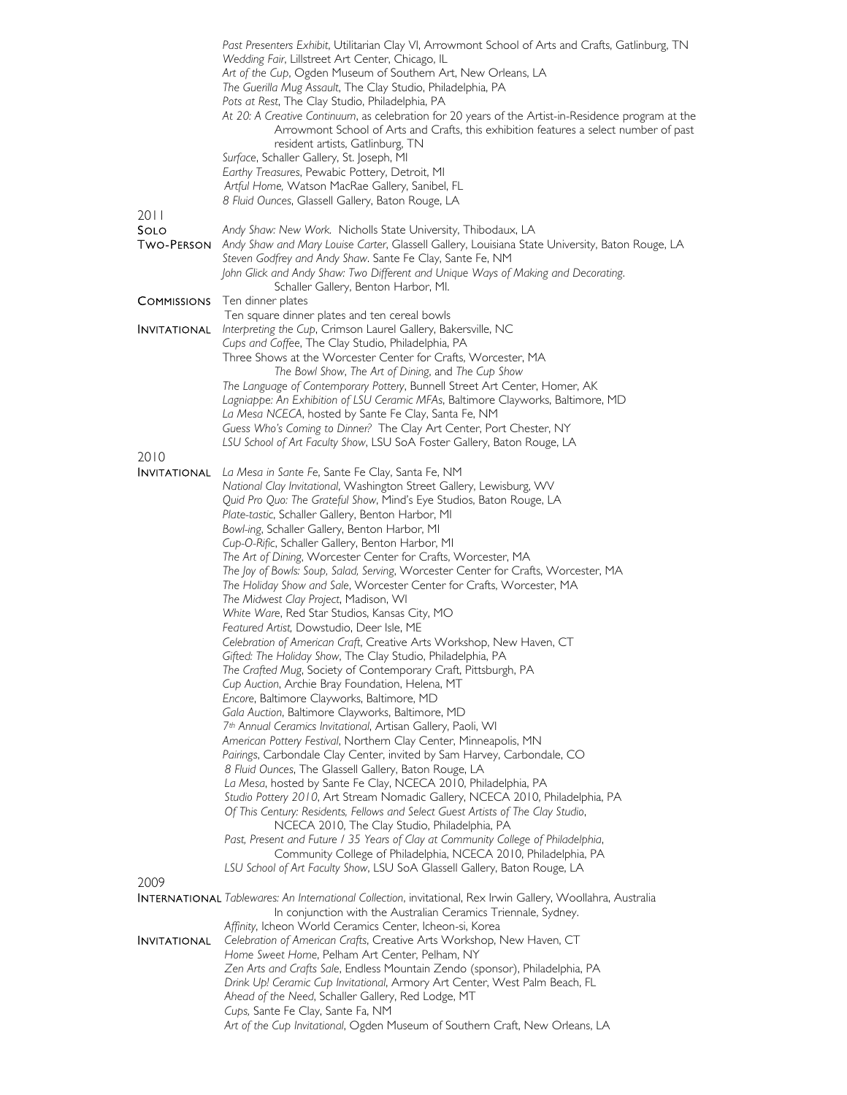|                     | Past Presenters Exhibit, Utilitarian Clay VI, Arrowmont School of Arts and Crafts, Gatlinburg, TN                                 |
|---------------------|-----------------------------------------------------------------------------------------------------------------------------------|
|                     | Wedding Fair, Lillstreet Art Center, Chicago, IL                                                                                  |
|                     | Art of the Cup, Ogden Museum of Southern Art, New Orleans, LA                                                                     |
|                     | The Guerilla Mug Assault, The Clay Studio, Philadelphia, PA<br>Pots at Rest, The Clay Studio, Philadelphia, PA                    |
|                     | At 20: A Creative Continuum, as celebration for 20 years of the Artist-in-Residence program at the                                |
|                     | Arrowmont School of Arts and Crafts, this exhibition features a select number of past                                             |
|                     | resident artists, Gatlinburg, TN                                                                                                  |
|                     | Surface, Schaller Gallery, St. Joseph, MI                                                                                         |
|                     | Earthy Treasures, Pewabic Pottery, Detroit, MI                                                                                    |
|                     | Artful Home, Watson MacRae Gallery, Sanibel, FL                                                                                   |
|                     | 8 Fluid Ounces, Glassell Gallery, Baton Rouge, LA                                                                                 |
| 2011                |                                                                                                                                   |
| SOLO                | Andy Shaw: New Work. Nicholls State University, Thibodaux, LA                                                                     |
| Two-Person          | Andy Shaw and Mary Louise Carter, Glassell Gallery, Louisiana State University, Baton Rouge, LA                                   |
|                     | Steven Godfrey and Andy Shaw. Sante Fe Clay, Sante Fe, NM                                                                         |
|                     | John Glick and Andy Shaw: Two Different and Unique Ways of Making and Decorating.                                                 |
| <b>COMMISSIONS</b>  | Schaller Gallery, Benton Harbor, MI.<br>Ten dinner plates                                                                         |
|                     | Ten square dinner plates and ten cereal bowls                                                                                     |
| <b>INVITATIONAL</b> | Interpreting the Cup, Crimson Laurel Gallery, Bakersville, NC                                                                     |
|                     | Cups and Coffee, The Clay Studio, Philadelphia, PA                                                                                |
|                     | Three Shows at the Worcester Center for Crafts, Worcester, MA                                                                     |
|                     | The Bowl Show, The Art of Dining, and The Cup Show                                                                                |
|                     | The Language of Contemporary Pottery, Bunnell Street Art Center, Homer, AK                                                        |
|                     | Lagniappe: An Exhibition of LSU Ceramic MFAs, Baltimore Clayworks, Baltimore, MD                                                  |
|                     | La Mesa NCECA, hosted by Sante Fe Clay, Santa Fe, NM                                                                              |
|                     | Guess Who's Coming to Dinner? The Clay Art Center, Port Chester, NY                                                               |
| 2010                | LSU School of Art Faculty Show, LSU SoA Foster Gallery, Baton Rouge, LA                                                           |
|                     | <b>INVITATIONAL</b> La Mesa in Sante Fe, Sante Fe Clay, Santa Fe, NM                                                              |
|                     | National Clay Invitational, Washington Street Gallery, Lewisburg, WV                                                              |
|                     | Quid Pro Quo: The Grateful Show, Mind's Eye Studios, Baton Rouge, LA                                                              |
|                     | Plate-tastic, Schaller Gallery, Benton Harbor, MI                                                                                 |
|                     | Bowl-ing, Schaller Gallery, Benton Harbor, MI                                                                                     |
|                     | Cup-O-Rific, Schaller Gallery, Benton Harbor, MI                                                                                  |
|                     | The Art of Dining, Worcester Center for Crafts, Worcester, MA                                                                     |
|                     | The Joy of Bowls: Soup, Salad, Serving, Worcester Center for Crafts, Worcester, MA                                                |
|                     | The Holiday Show and Sale, Worcester Center for Crafts, Worcester, MA                                                             |
|                     | The Midwest Clay Project, Madison, WI                                                                                             |
|                     | White Ware, Red Star Studios, Kansas City, MO<br>Featured Artist, Dowstudio, Deer Isle, ME                                        |
|                     | Celebration of American Craft, Creative Arts Workshop, New Haven, CT                                                              |
|                     | Gifted: The Holiday Show, The Clay Studio, Philadelphia, PA                                                                       |
|                     | The Crafted Mug, Society of Contemporary Craft, Pittsburgh, PA                                                                    |
|                     | Cup Auction, Archie Bray Foundation, Helena, MT                                                                                   |
|                     | Encore, Baltimore Clayworks, Baltimore, MD                                                                                        |
|                     | Gala Auction, Baltimore Clayworks, Baltimore, MD                                                                                  |
|                     | 7th Annual Ceramics Invitational, Artisan Gallery, Paoli, WI                                                                      |
|                     | American Pottery Festival, Northern Clay Center, Minneapolis, MN                                                                  |
|                     | Pairings, Carbondale Clay Center, invited by Sam Harvey, Carbondale, CO<br>8 Fluid Ounces, The Glassell Gallery, Baton Rouge, LA  |
|                     | La Mesa, hosted by Sante Fe Clay, NCECA 2010, Philadelphia, PA                                                                    |
|                     | Studio Pottery 2010, Art Stream Nomadic Gallery, NCECA 2010, Philadelphia, PA                                                     |
|                     | Of This Century: Residents, Fellows and Select Guest Artists of The Clay Studio,                                                  |
|                     | NCECA 2010, The Clay Studio, Philadelphia, PA                                                                                     |
|                     | Past, Present and Future / 35 Years of Clay at Community College of Philadelphia,                                                 |
|                     | Community College of Philadelphia, NCECA 2010, Philadelphia, PA                                                                   |
|                     | LSU School of Art Faculty Show, LSU SoA Glassell Gallery, Baton Rouge, LA                                                         |
| 2009                |                                                                                                                                   |
|                     | <b>INTERNATIONAL</b> Tablewares: An International Collection, invitational, Rex Irwin Gallery, Woollahra, Australia               |
|                     | In conjunction with the Australian Ceramics Triennale, Sydney.                                                                    |
|                     | Affinity, Icheon World Ceramics Center, Icheon-si, Korea<br>Celebration of American Crafts, Creative Arts Workshop, New Haven, CT |
| <b>INVITATIONAL</b> | Home Sweet Home, Pelham Art Center, Pelham, NY                                                                                    |
|                     | Zen Arts and Crafts Sale, Endless Mountain Zendo (sponsor), Philadelphia, PA                                                      |
|                     | Drink Up! Ceramic Cup Invitational, Armory Art Center, West Palm Beach, FL                                                        |
|                     | Ahead of the Need, Schaller Gallery, Red Lodge, MT                                                                                |
|                     | Cups, Sante Fe Clay, Sante Fa, NM                                                                                                 |
|                     | Art of the Cup Invitational, Ogden Museum of Southern Craft, New Orleans, LA                                                      |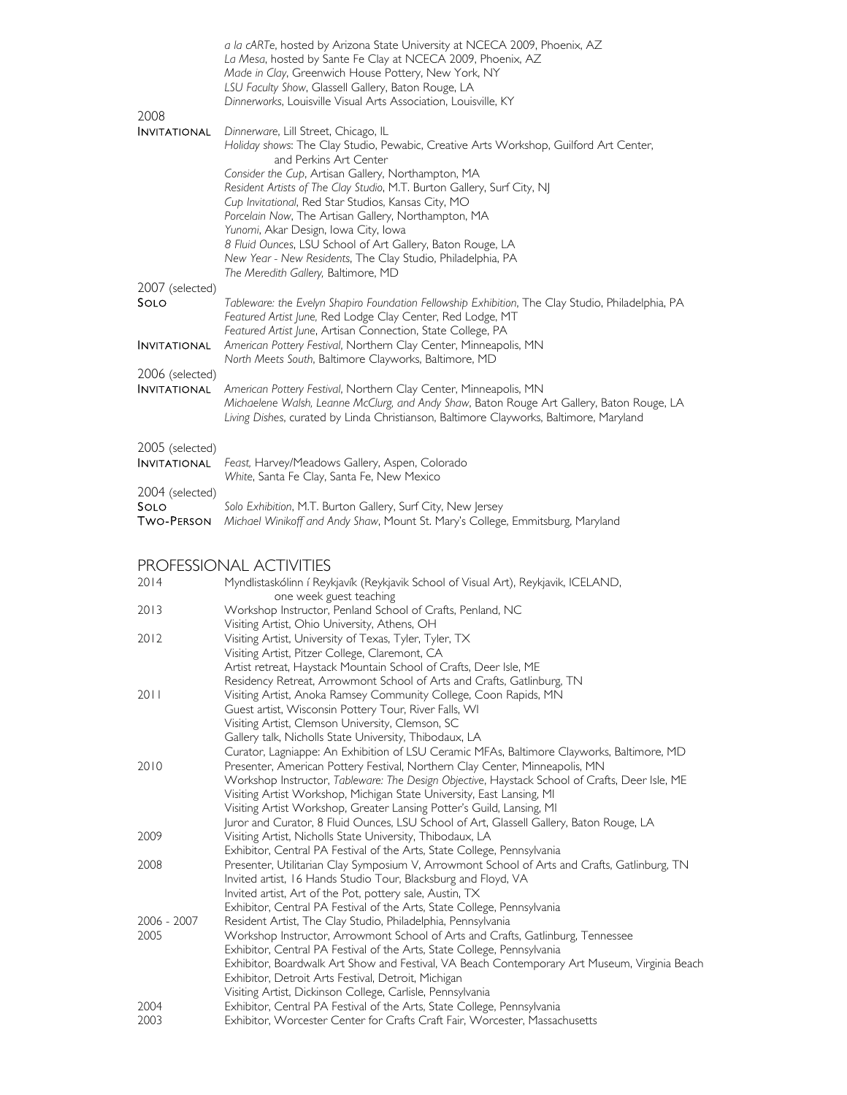| 2008                                         | a la cARTe, hosted by Arizona State University at NCECA 2009, Phoenix, AZ<br>La Mesa, hosted by Sante Fe Clay at NCECA 2009, Phoenix, AZ<br>Made in Clay, Greenwich House Pottery, New York, NY<br>LSU Faculty Show, Glassell Gallery, Baton Rouge, LA<br>Dinnerworks, Louisville Visual Arts Association, Louisville, KY                                                                                                                                                                                                                                                                                          |
|----------------------------------------------|--------------------------------------------------------------------------------------------------------------------------------------------------------------------------------------------------------------------------------------------------------------------------------------------------------------------------------------------------------------------------------------------------------------------------------------------------------------------------------------------------------------------------------------------------------------------------------------------------------------------|
| <b>INVITATIONAL</b>                          | Dinnerware, Lill Street, Chicago, IL<br>Holiday shows: The Clay Studio, Pewabic, Creative Arts Workshop, Guilford Art Center,<br>and Perkins Art Center<br>Consider the Cup, Artisan Gallery, Northampton, MA<br>Resident Artists of The Clay Studio, M.T. Burton Gallery, Surf City, NJ<br>Cup Invitational, Red Star Studios, Kansas City, MO<br>Porcelain Now, The Artisan Gallery, Northampton, MA<br>Yunomi, Akar Design, Iowa City, Iowa<br>8 Fluid Ounces, LSU School of Art Gallery, Baton Rouge, LA<br>New Year - New Residents, The Clay Studio, Philadelphia, PA<br>The Meredith Gallery, Baltimore, MD |
| 2007 (selected)<br>SOLO                      | Tableware: the Evelyn Shapiro Foundation Fellowship Exhibition, The Clay Studio, Philadelphia, PA<br>Featured Artist June, Red Lodge Clay Center, Red Lodge, MT<br>Featured Artist June, Artisan Connection, State College, PA                                                                                                                                                                                                                                                                                                                                                                                     |
| <b>INVITATIONAL</b>                          | American Pottery Festival, Northern Clay Center, Minneapolis, MN<br>North Meets South, Baltimore Clayworks, Baltimore, MD                                                                                                                                                                                                                                                                                                                                                                                                                                                                                          |
| 2006 (selected)<br><b>INVITATIONAL</b>       | American Pottery Festival, Northern Clay Center, Minneapolis, MN<br>Michaelene Walsh, Leanne McClurg, and Andy Shaw, Baton Rouge Art Gallery, Baton Rouge, LA<br>Living Dishes, curated by Linda Christianson, Baltimore Clayworks, Baltimore, Maryland                                                                                                                                                                                                                                                                                                                                                            |
| 2005 (selected)<br><b>INVITATIONAL</b>       | Feast, Harvey/Meadows Gallery, Aspen, Colorado<br>White, Santa Fe Clay, Santa Fe, New Mexico                                                                                                                                                                                                                                                                                                                                                                                                                                                                                                                       |
| 2004 (selected)<br>SOLO<br><b>TWO-PERSON</b> | Solo Exhibition, M.T. Burton Gallery, Surf City, New Jersey<br>Michael Winikoff and Andy Shaw, Mount St. Mary's College, Emmitsburg, Maryland                                                                                                                                                                                                                                                                                                                                                                                                                                                                      |
|                                              | DDAEECCIANIAI AATIVITIEC                                                                                                                                                                                                                                                                                                                                                                                                                                                                                                                                                                                           |

### PROFESSIONAL ACTIVITIES

| 2014        | Myndlistaskólinn í Reykjavík (Reykjavik School of Visual Art), Reykjavik, ICELAND,<br>one week guest teaching                                                  |
|-------------|----------------------------------------------------------------------------------------------------------------------------------------------------------------|
| 2013        | Workshop Instructor, Penland School of Crafts, Penland, NC                                                                                                     |
|             | Visiting Artist, Ohio University, Athens, OH                                                                                                                   |
| 2012        | Visiting Artist, University of Texas, Tyler, Tyler, TX                                                                                                         |
|             | Visiting Artist, Pitzer College, Claremont, CA                                                                                                                 |
|             | Artist retreat, Haystack Mountain School of Crafts, Deer Isle, ME                                                                                              |
|             | Residency Retreat, Arrowmont School of Arts and Crafts, Gatlinburg, TN                                                                                         |
| 2011        | Visiting Artist, Anoka Ramsey Community College, Coon Rapids, MN                                                                                               |
|             | Guest artist, Wisconsin Pottery Tour, River Falls, WI                                                                                                          |
|             | Visiting Artist, Clemson University, Clemson, SC                                                                                                               |
|             | Gallery talk, Nicholls State University, Thibodaux, LA                                                                                                         |
|             | Curator, Lagniappe: An Exhibition of LSU Ceramic MFAs, Baltimore Clayworks, Baltimore, MD                                                                      |
| 2010        | Presenter, American Pottery Festival, Northern Clay Center, Minneapolis, MN                                                                                    |
|             | Workshop Instructor, Tableware: The Design Objective, Haystack School of Crafts, Deer Isle, ME                                                                 |
|             | Visiting Artist Workshop, Michigan State University, East Lansing, MI                                                                                          |
|             | Visiting Artist Workshop, Greater Lansing Potter's Guild, Lansing, MI                                                                                          |
|             | Juror and Curator, 8 Fluid Ounces, LSU School of Art, Glassell Gallery, Baton Rouge, LA                                                                        |
| 2009        | Visiting Artist, Nicholls State University, Thibodaux, LA                                                                                                      |
|             | Exhibitor, Central PA Festival of the Arts, State College, Pennsylvania                                                                                        |
| 2008        | Presenter, Utilitarian Clay Symposium V, Arrowmont School of Arts and Crafts, Gatlinburg, TN<br>Invited artist, 16 Hands Studio Tour, Blacksburg and Floyd, VA |
|             | Invited artist, Art of the Pot, pottery sale, Austin, TX                                                                                                       |
|             | Exhibitor, Central PA Festival of the Arts, State College, Pennsylvania                                                                                        |
| 2006 - 2007 | Resident Artist, The Clay Studio, Philadelphia, Pennsylvania                                                                                                   |
| 2005        | Workshop Instructor, Arrowmont School of Arts and Crafts, Gatlinburg, Tennessee                                                                                |
|             | Exhibitor, Central PA Festival of the Arts, State College, Pennsylvania                                                                                        |
|             | Exhibitor, Boardwalk Art Show and Festival, VA Beach Contemporary Art Museum, Virginia Beach                                                                   |
|             | Exhibitor, Detroit Arts Festival, Detroit, Michigan                                                                                                            |
|             | Visiting Artist, Dickinson College, Carlisle, Pennsylvania                                                                                                     |
| 2004        | Exhibitor, Central PA Festival of the Arts, State College, Pennsylvania                                                                                        |
| 2003        | Exhibitor, Worcester Center for Crafts Craft Fair, Worcester, Massachusetts                                                                                    |
|             |                                                                                                                                                                |